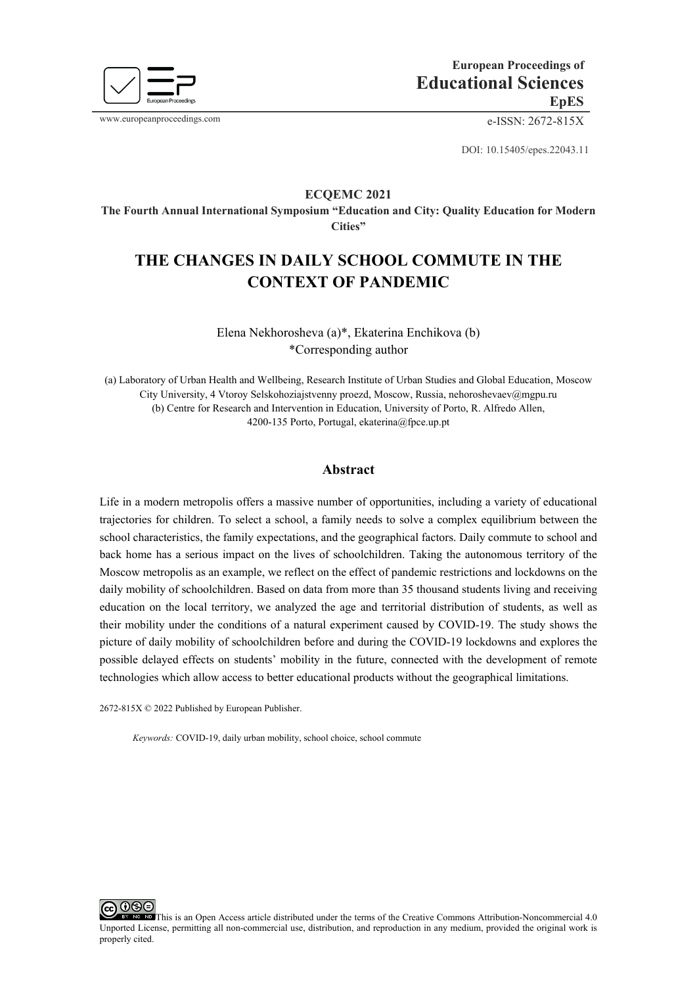

www.europeanproceedings.com e-ISSN: 2672-815X

DOI: 10.15405/epes.22043.11

## **ECQEMС 2021**

**The Fourth Annual International Symposium "Education and City: Quality Education for Modern Cities"**

# **THE CHANGES IN DAILY SCHOOL COMMUTE IN THE CONTEXT OF PANDEMIC**

Elena Nekhorosheva (a)\*, Ekaterina Enchikova (b) \*Corresponding author

(a) Laboratory of Urban Health and Wellbeing, Research Institute of Urban Studies and Global Education, Moscow City University, 4 Vtoroy Selskohoziajstvenny proezd, Moscow, Russia, nehoroshevaev@mgpu.ru (b) Centre for Research and Intervention in Education, University of Porto, R. Alfredo Allen, 4200-135 Porto, Portugal, ekaterina@fpce.up.pt

# **Abstract**

Life in a modern metropolis offers a massive number of opportunities, including a variety of educational trajectories for children. To select a school, a family needs to solve a complex equilibrium between the school characteristics, the family expectations, and the geographical factors. Daily commute to school and back home has a serious impact on the lives of schoolchildren. Taking the autonomous territory of the Moscow metropolis as an example, we reflect on the effect of pandemic restrictions and lockdowns on the daily mobility of schoolchildren. Based on data from more than 35 thousand students living and receiving education on the local territory, we analyzed the age and territorial distribution of students, as well as their mobility under the conditions of a natural experiment caused by COVID-19. The study shows the picture of daily mobility of schoolchildren before and during the COVID-19 lockdowns and explores the possible delayed effects on students' mobility in the future, connected with the development of remote technologies which allow access to better educational products without the geographical limitations.

2672-815X © 2022 Published by European Publisher.

*Keywords:* COVID-19, daily urban mobility, school choice, school commute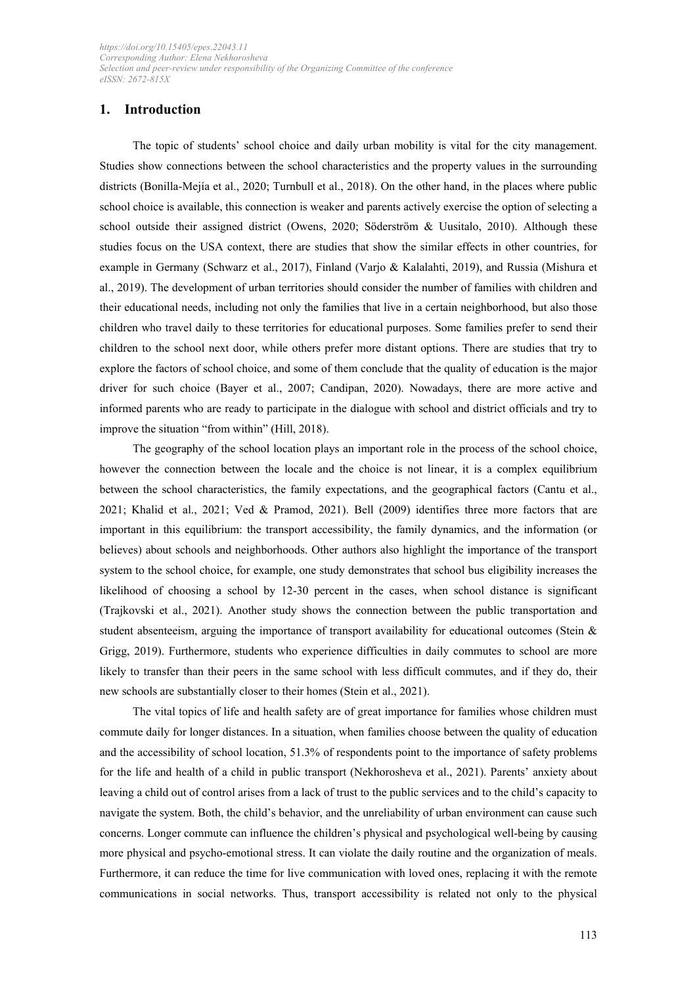# **1. Introduction**

The topic of students' school choice and daily urban mobility is vital for the city management. Studies show connections between the school characteristics and the property values in the surrounding districts (Bonilla-Mejía et al., 2020; Turnbull et al., 2018). On the other hand, in the places where public school choice is available, this connection is weaker and parents actively exercise the option of selecting a school outside their assigned district (Owens, 2020; Söderström & Uusitalo, 2010). Although these studies focus on the USA context, there are studies that show the similar effects in other countries, for example in Germany (Schwarz et al., 2017), Finland (Varjo & Kalalahti, 2019), and Russia (Mishura et al., 2019). The development of urban territories should consider the number of families with children and their educational needs, including not only the families that live in a certain neighborhood, but also those children who travel daily to these territories for educational purposes. Some families prefer to send their children to the school next door, while others prefer more distant options. There are studies that try to explore the factors of school choice, and some of them conclude that the quality of education is the major driver for such choice (Bayer et al., 2007; Candipan, 2020). Nowadays, there are more active and informed parents who are ready to participate in the dialogue with school and district officials and try to improve the situation "from within" (Hill, 2018).

The geography of the school location plays an important role in the process of the school choice, however the connection between the locale and the choice is not linear, it is a complex equilibrium between the school characteristics, the family expectations, and the geographical factors (Cantu et al., 2021; Khalid et al., 2021; Ved & Pramod, 2021). Bell (2009) identifies three more factors that are important in this equilibrium: the transport accessibility, the family dynamics, and the information (or believes) about schools and neighborhoods. Other authors also highlight the importance of the transport system to the school choice, for example, one study demonstrates that school bus eligibility increases the likelihood of choosing a school by 12-30 percent in the cases, when school distance is significant (Trajkovski et al., 2021). Another study shows the connection between the public transportation and student absenteeism, arguing the importance of transport availability for educational outcomes (Stein & Grigg, 2019). Furthermore, students who experience difficulties in daily commutes to school are more likely to transfer than their peers in the same school with less difficult commutes, and if they do, their new schools are substantially closer to their homes (Stein et al., 2021).

The vital topics of life and health safety are of great importance for families whose children must commute daily for longer distances. In a situation, when families choose between the quality of education and the accessibility of school location, 51.3% of respondents point to the importance of safety problems for the life and health of a child in public transport (Nekhorosheva et al., 2021). Parents' anxiety about leaving a child out of control arises from a lack of trust to the public services and to the child's capacity to navigate the system. Both, the child's behavior, and the unreliability of urban environment can cause such concerns. Longer commute can influence the children's physical and psychological well-being by causing more physical and psycho-emotional stress. It can violate the daily routine and the organization of meals. Furthermore, it can reduce the time for live communication with loved ones, replacing it with the remote communications in social networks. Thus, transport accessibility is related not only to the physical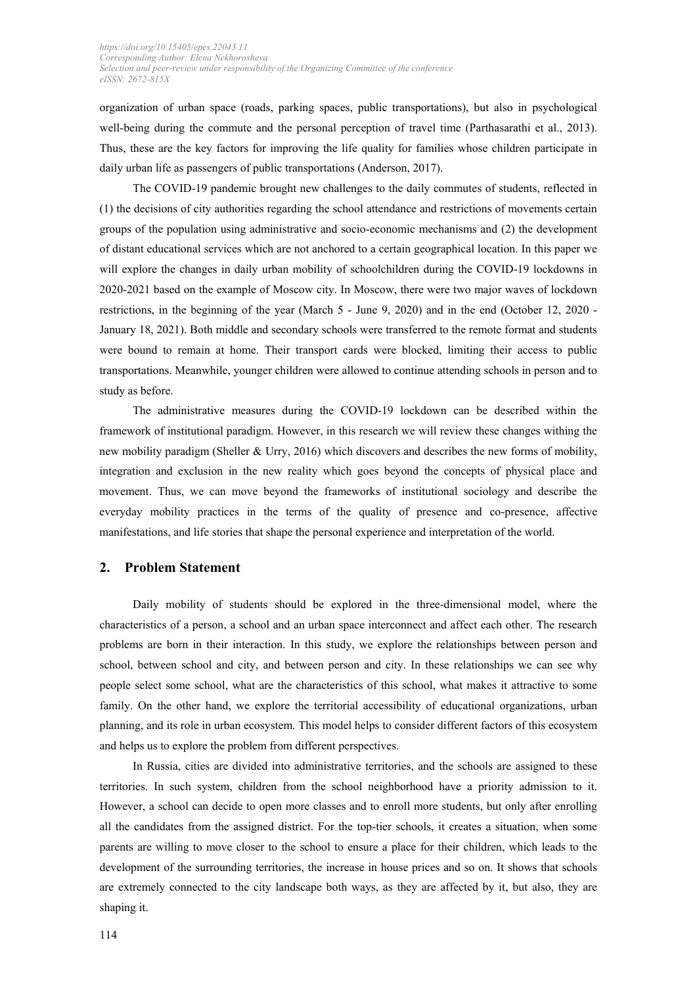organization of urban space (roads, parking spaces, public transportations), but also in psychological well-being during the commute and the personal perception of travel time (Parthasarathi et al., 2013). Thus, these are the key factors for improving the life quality for families whose children participate in daily urban life as passengers of public transportations (Anderson, 2017).

The COVID-19 pandemic brought new challenges to the daily commutes of students, reflected in (1) the decisions of city authorities regarding the school attendance and restrictions of movements certain groups of the population using administrative and socio-economic mechanisms and (2) the development of distant educational services which are not anchored to a certain geographical location. In this paper we will explore the changes in daily urban mobility of schoolchildren during the COVID-19 lockdowns in 2020-2021 based on the example of Moscow city. In Moscow, there were two major waves of lockdown restrictions, in the beginning of the year (March 5 - June 9, 2020) and in the end (October 12, 2020 - January 18, 2021). Both middle and secondary schools were transferred to the remote format and students were bound to remain at home. Their transport cards were blocked, limiting their access to public transportations. Meanwhile, younger children were allowed to continue attending schools in person and to study as before.

The administrative measures during the COVID-19 lockdown can be described within the framework of institutional paradigm. However, in this research we will review these changes withing the new mobility paradigm (Sheller & Urry, 2016) which discovers and describes the new forms of mobility, integration and exclusion in the new reality which goes beyond the concepts of physical place and movement. Thus, we can move beyond the frameworks of institutional sociology and describe the everyday mobility practices in the terms of the quality of presence and co-presence, affective manifestations, and life stories that shape the personal experience and interpretation of the world.

#### **2. Problem Statement**

Daily mobility of students should be explored in the three-dimensional model, where the characteristics of a person, a school and an urban space interconnect and affect each other. The research problems are born in their interaction. In this study, we explore the relationships between person and school, between school and city, and between person and city. In these relationships we can see why people select some school, what are the characteristics of this school, what makes it attractive to some family. On the other hand, we explore the territorial accessibility of educational organizations, urban planning, and its role in urban ecosystem. This model helps to consider different factors of this ecosystem and helps us to explore the problem from different perspectives.

In Russia, cities are divided into administrative territories, and the schools are assigned to these territories. In such system, children from the school neighborhood have a priority admission to it. However, a school can decide to open more classes and to enroll more students, but only after enrolling all the candidates from the assigned district. For the top-tier schools, it creates a situation, when some parents are willing to move closer to the school to ensure a place for their children, which leads to the development of the surrounding territories, the increase in house prices and so on. It shows that schools are extremely connected to the city landscape both ways, as they are affected by it, but also, they are shaping it.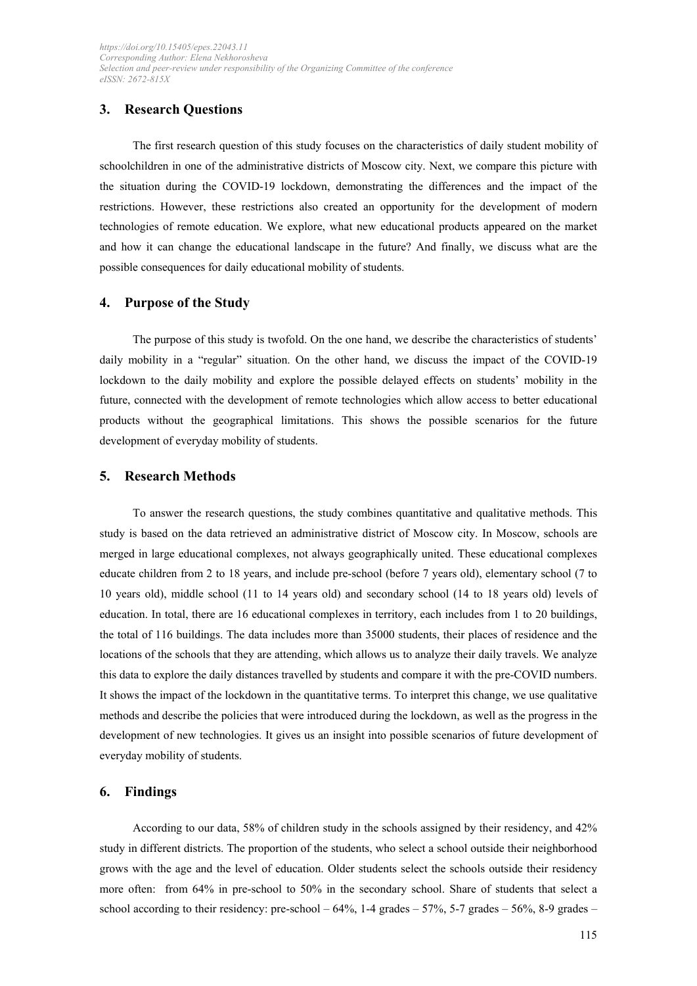# **3. Research Questions**

The first research question of this study focuses on the characteristics of daily student mobility of schoolchildren in one of the administrative districts of Moscow city. Next, we compare this picture with the situation during the COVID-19 lockdown, demonstrating the differences and the impact of the restrictions. However, these restrictions also created an opportunity for the development of modern technologies of remote education. We explore, what new educational products appeared on the market and how it can change the educational landscape in the future? And finally, we discuss what are the possible consequences for daily educational mobility of students.

### **4. Purpose of the Study**

The purpose of this study is twofold. On the one hand, we describe the characteristics of students' daily mobility in a "regular" situation. On the other hand, we discuss the impact of the COVID-19 lockdown to the daily mobility and explore the possible delayed effects on students' mobility in the future, connected with the development of remote technologies which allow access to better educational products without the geographical limitations. This shows the possible scenarios for the future development of everyday mobility of students.

#### **5. Research Methods**

To answer the research questions, the study combines quantitative and qualitative methods. This study is based on the data retrieved an administrative district of Moscow city. In Moscow, schools are merged in large educational complexes, not always geographically united. These educational complexes educate children from 2 to 18 years, and include pre-school (before 7 years old), elementary school (7 to 10 years old), middle school (11 to 14 years old) and secondary school (14 to 18 years old) levels of education. In total, there are 16 educational complexes in territory, each includes from 1 to 20 buildings, the total of 116 buildings. The data includes more than 35000 students, their places of residence and the locations of the schools that they are attending, which allows us to analyze their daily travels. We analyze this data to explore the daily distances travelled by students and compare it with the pre-COVID numbers. It shows the impact of the lockdown in the quantitative terms. To interpret this change, we use qualitative methods and describe the policies that were introduced during the lockdown, as well as the progress in the development of new technologies. It gives us an insight into possible scenarios of future development of everyday mobility of students.

#### **6. Findings**

According to our data, 58% of children study in the schools assigned by their residency, and 42% study in different districts. The proportion of the students, who select a school outside their neighborhood grows with the age and the level of education. Older students select the schools outside their residency more often: from 64% in pre-school to 50% in the secondary school. Share of students that select a school according to their residency: pre-school  $-64\%$ , 1-4 grades  $-57\%$ , 5-7 grades  $-56\%$ , 8-9 grades  $-$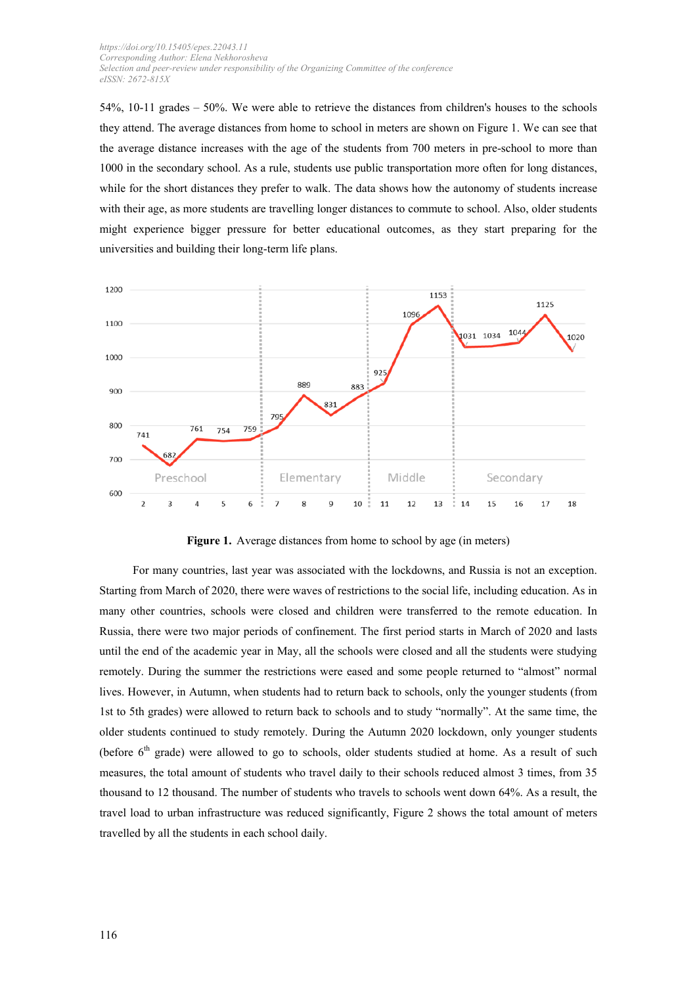54%, 10-11 grades – 50%. We were able to retrieve the distances from children's houses to the schools they attend. The average distances from home to school in meters are shown on Figure 1. We can see that the average distance increases with the age of the students from 700 meters in pre-school to more than 1000 in the secondary school. As a rule, students use public transportation more often for long distances, while for the short distances they prefer to walk. The data shows how the autonomy of students increase with their age, as more students are travelling longer distances to commute to school. Also, older students might experience bigger pressure for better educational outcomes, as they start preparing for the universities and building their long-term life plans.



Figure 1. Average distances from home to school by age (in meters)

For many countries, last year was associated with the lockdowns, and Russia is not an exception. Starting from March of 2020, there were waves of restrictions to the social life, including education. As in many other countries, schools were closed and children were transferred to the remote education. In Russia, there were two major periods of confinement. The first period starts in March of 2020 and lasts until the end of the academic year in May, all the schools were closed and all the students were studying remotely. During the summer the restrictions were eased and some people returned to "almost" normal lives. However, in Autumn, when students had to return back to schools, only the younger students (from 1st to 5th grades) were allowed to return back to schools and to study "normally". At the same time, the older students continued to study remotely. During the Autumn 2020 lockdown, only younger students (before  $6<sup>th</sup>$  grade) were allowed to go to schools, older students studied at home. As a result of such measures, the total amount of students who travel daily to their schools reduced almost 3 times, from 35 thousand to 12 thousand. The number of students who travels to schools went down 64%. As a result, the travel load to urban infrastructure was reduced significantly, Figure 2 shows the total amount of meters travelled by all the students in each school daily.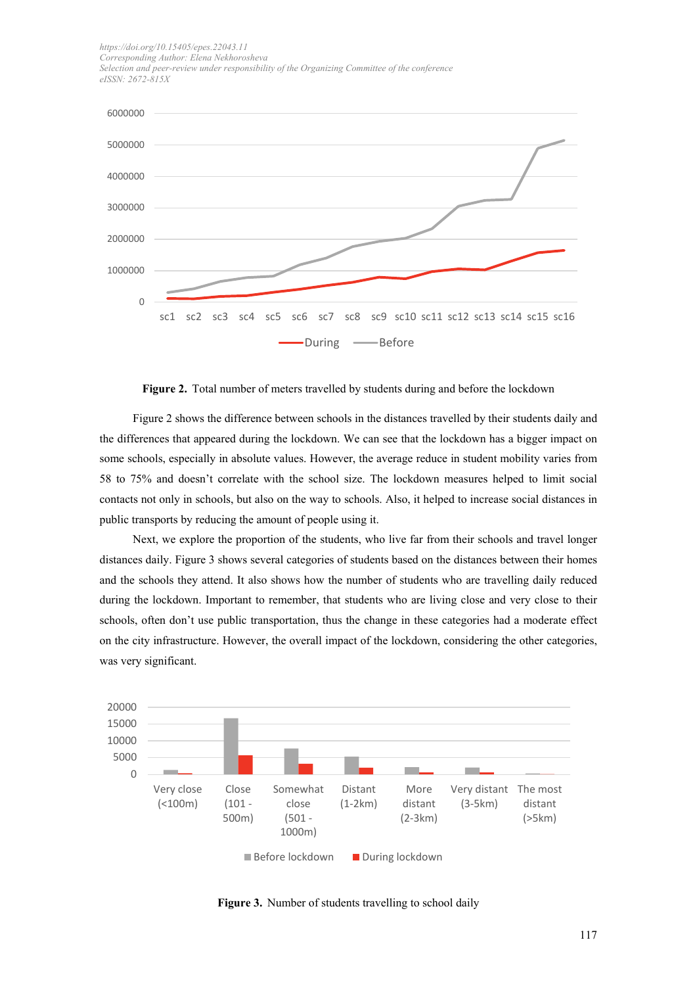

**Figure 2.** Total number of meters travelled by students during and before the lockdown

Figure 2 shows the difference between schools in the distances travelled by their students daily and the differences that appeared during the lockdown. We can see that the lockdown has a bigger impact on some schools, especially in absolute values. However, the average reduce in student mobility varies from 58 to 75% and doesn't correlate with the school size. The lockdown measures helped to limit social contacts not only in schools, but also on the way to schools. Also, it helped to increase social distances in public transports by reducing the amount of people using it.

Next, we explore the proportion of the students, who live far from their schools and travel longer distances daily. Figure 3 shows several categories of students based on the distances between their homes and the schools they attend. It also shows how the number of students who are travelling daily reduced during the lockdown. Important to remember, that students who are living close and very close to their schools, often don't use public transportation, thus the change in these categories had a moderate effect on the city infrastructure. However, the overall impact of the lockdown, considering the other categories, was very significant.



**Figure 3.** Number of students travelling to school daily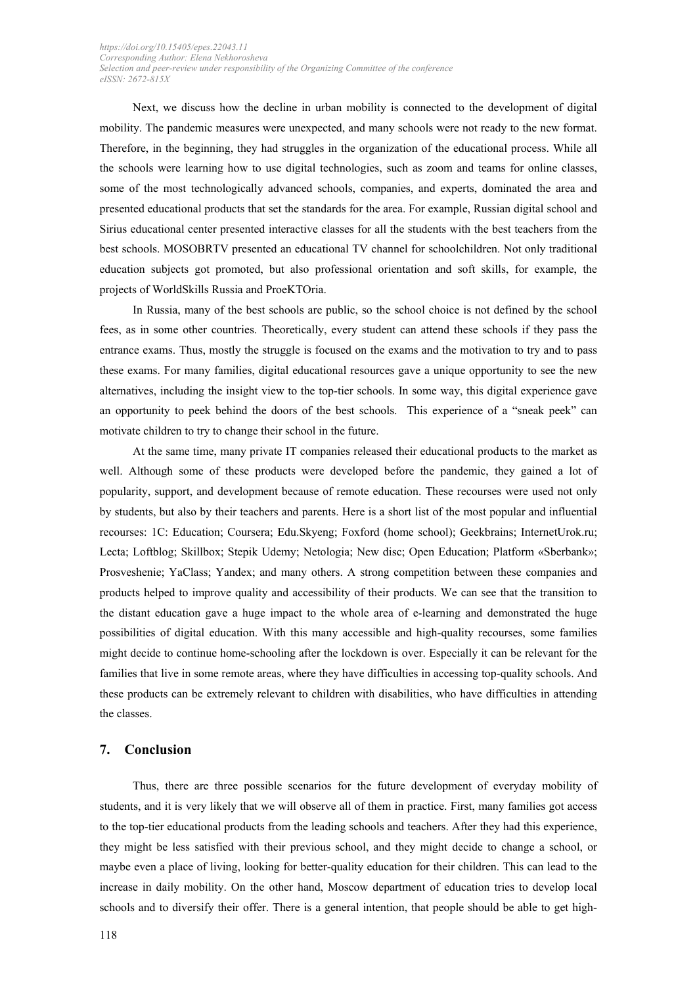Next, we discuss how the decline in urban mobility is connected to the development of digital mobility. The pandemic measures were unexpected, and many schools were not ready to the new format. Therefore, in the beginning, they had struggles in the organization of the educational process. While all the schools were learning how to use digital technologies, such as zoom and teams for online classes, some of the most technologically advanced schools, companies, and experts, dominated the area and presented educational products that set the standards for the area. For example, Russian digital school and Sirius educational center presented interactive classes for all the students with the best teachers from the best schools. MOSOBRTV presented an educational TV channel for schoolchildren. Not only traditional education subjects got promoted, but also professional orientation and soft skills, for example, the projects of WorldSkills Russia and ProeKTOria.

In Russia, many of the best schools are public, so the school choice is not defined by the school fees, as in some other countries. Theoretically, every student can attend these schools if they pass the entrance exams. Thus, mostly the struggle is focused on the exams and the motivation to try and to pass these exams. For many families, digital educational resources gave a unique opportunity to see the new alternatives, including the insight view to the top-tier schools. In some way, this digital experience gave an opportunity to peek behind the doors of the best schools. This experience of a "sneak peek" can motivate children to try to change their school in the future.

At the same time, many private IT companies released their educational products to the market as well. Although some of these products were developed before the pandemic, they gained a lot of popularity, support, and development because of remote education. These recourses were used not only by students, but also by their teachers and parents. Here is a short list of the most popular and influential recourses: 1С: Education; Coursera; Edu.Skyeng; Foxford (home school); Geekbrains; InternetUrok.ru; Lecta; Loftblog; Skillbox; Stepik Udemy; Netologia; New disc; Open Education; Platform «Sberbank»; Prosveshenie; YaClass; Yandex; and many others. A strong competition between these companies and products helped to improve quality and accessibility of their products. We can see that the transition to the distant education gave a huge impact to the whole area of e-learning and demonstrated the huge possibilities of digital education. With this many accessible and high-quality recourses, some families might decide to continue home-schooling after the lockdown is over. Especially it can be relevant for the families that live in some remote areas, where they have difficulties in accessing top-quality schools. And these products can be extremely relevant to children with disabilities, who have difficulties in attending the classes.

### **7. Conclusion**

Thus, there are three possible scenarios for the future development of everyday mobility of students, and it is very likely that we will observe all of them in practice. First, many families got access to the top-tier educational products from the leading schools and teachers. After they had this experience, they might be less satisfied with their previous school, and they might decide to change a school, or maybe even a place of living, looking for better-quality education for their children. This can lead to the increase in daily mobility. On the other hand, Moscow department of education tries to develop local schools and to diversify their offer. There is a general intention, that people should be able to get high-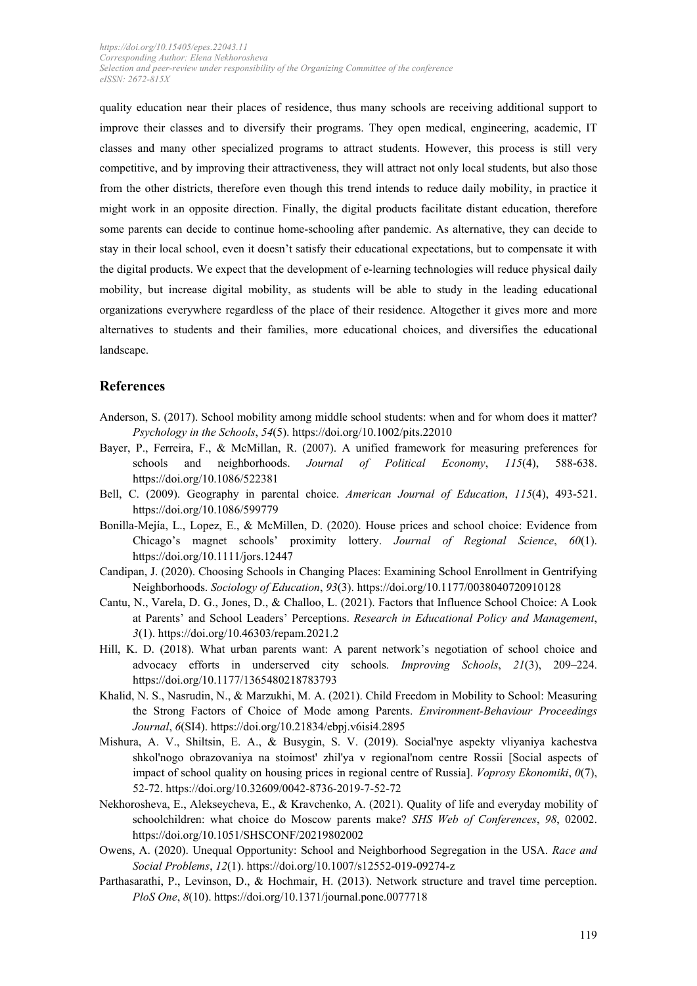quality education near their places of residence, thus many schools are receiving additional support to improve their classes and to diversify their programs. They open medical, engineering, academic, IT classes and many other specialized programs to attract students. However, this process is still very competitive, and by improving their attractiveness, they will attract not only local students, but also those from the other districts, therefore even though this trend intends to reduce daily mobility, in practice it might work in an opposite direction. Finally, the digital products facilitate distant education, therefore some parents can decide to continue home-schooling after pandemic. As alternative, they can decide to stay in their local school, even it doesn't satisfy their educational expectations, but to compensate it with the digital products. We expect that the development of e-learning technologies will reduce physical daily mobility, but increase digital mobility, as students will be able to study in the leading educational organizations everywhere regardless of the place of their residence. Altogether it gives more and more alternatives to students and their families, more educational choices, and diversifies the educational landscape.

## **References**

- Anderson, S. (2017). School mobility among middle school students: when and for whom does it matter? *Psychology in the Schools*, *54*(5). https://doi.org/10.1002/pits.22010
- Bayer, P., Ferreira, F., & McMillan, R. (2007). A unified framework for measuring preferences for schools and neighborhoods. *Journal of Political Economy*, *115*(4), 588-638. https://doi.org/10.1086/522381
- Bell, C. (2009). Geography in parental choice. *American Journal of Education*, *115*(4), 493-521. https://doi.org/10.1086/599779
- Bonilla-Mejía, L., Lopez, E., & McMillen, D. (2020). House prices and school choice: Evidence from Chicago's magnet schools' proximity lottery. *Journal of Regional Science*, *60*(1). https://doi.org/10.1111/jors.12447
- Candipan, J. (2020). Choosing Schools in Changing Places: Examining School Enrollment in Gentrifying Neighborhoods. *Sociology of Education*, *93*(3). https://doi.org/10.1177/0038040720910128
- Cantu, N., Varela, D. G., Jones, D., & Challoo, L. (2021). Factors that Influence School Choice: A Look at Parents' and School Leaders' Perceptions. *Research in Educational Policy and Management*, *3*(1). https://doi.org/10.46303/repam.2021.2
- Hill, K. D. (2018). What urban parents want: A parent network's negotiation of school choice and advocacy efforts in underserved city schools. *Improving Schools*, *21*(3), 209–224. https://doi.org/10.1177/1365480218783793
- Khalid, N. S., Nasrudin, N., & Marzukhi, M. A. (2021). Child Freedom in Mobility to School: Measuring the Strong Factors of Choice of Mode among Parents. *Environment-Behaviour Proceedings Journal*, *6*(SI4). https://doi.org/10.21834/ebpj.v6isi4.2895
- Mishura, A. V., Shiltsin, E. A., & Busygin, S. V. (2019). Social'nye aspekty vliyaniya kachestva shkol'nogo obrazovaniya na stoimost' zhil'ya v regional'nom centre Rossii [Social aspects of impact of school quality on housing prices in regional centre of Russia]. *Voprosy Ekonomiki*, *0*(7), 52-72. https://doi.org/10.32609/0042-8736-2019-7-52-72
- Nekhorosheva, E., Alekseycheva, E., & Kravchenko, A. (2021). Quality of life and everyday mobility of schoolchildren: what choice do Moscow parents make? *SHS Web of Conferences*, *98*, 02002. https://doi.org/10.1051/SHSCONF/20219802002
- Owens, A. (2020). Unequal Opportunity: School and Neighborhood Segregation in the USA. *Race and Social Problems*, *12*(1). https://doi.org/10.1007/s12552-019-09274-z
- Parthasarathi, P., Levinson, D., & Hochmair, H. (2013). Network structure and travel time perception. *PloS One*, *8*(10). https://doi.org/10.1371/journal.pone.0077718